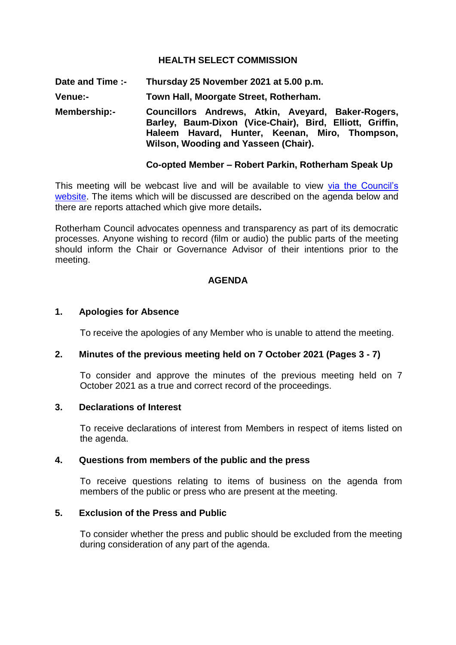#### **HEALTH SELECT COMMISSION**

**Date and Time :- Thursday 25 November 2021 at 5.00 p.m.**

**Venue:- Town Hall, Moorgate Street, Rotherham.**

**Membership:- Councillors Andrews, Atkin, Aveyard, Baker-Rogers, Barley, Baum-Dixon (Vice-Chair), Bird, Elliott, Griffin, Haleem Havard, Hunter, Keenan, Miro, Thompson, Wilson, Wooding and Yasseen (Chair).**

#### **Co-opted Member – Robert Parkin, Rotherham Speak Up**

This meeting will be webcast live and will be available to view via the Council's [website.](https://rotherham.public-i.tv/core/portal/home) The items which will be discussed are described on the agenda below and there are reports attached which give more details**.**

Rotherham Council advocates openness and transparency as part of its democratic processes. Anyone wishing to record (film or audio) the public parts of the meeting should inform the Chair or Governance Advisor of their intentions prior to the meeting.

#### **AGENDA**

#### **1. Apologies for Absence**

To receive the apologies of any Member who is unable to attend the meeting.

#### **2. Minutes of the previous meeting held on 7 October 2021 (Pages 3 - 7)**

To consider and approve the minutes of the previous meeting held on 7 October 2021 as a true and correct record of the proceedings.

#### **3. Declarations of Interest**

To receive declarations of interest from Members in respect of items listed on the agenda.

### **4. Questions from members of the public and the press**

To receive questions relating to items of business on the agenda from members of the public or press who are present at the meeting.

#### **5. Exclusion of the Press and Public**

To consider whether the press and public should be excluded from the meeting during consideration of any part of the agenda.